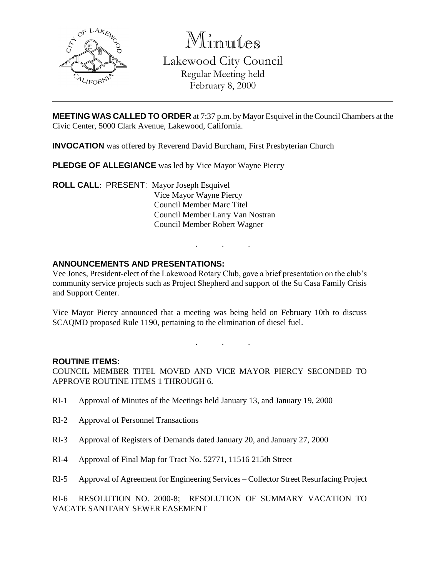

Minutes

Lakewood City Council Regular Meeting held February 8, 2000

**MEETING WAS CALLED TO ORDER** at 7:37 p.m. by Mayor Esquivel in the Council Chambers at the Civic Center, 5000 Clark Avenue, Lakewood, California.

**INVOCATION** was offered by Reverend David Burcham, First Presbyterian Church

**PLEDGE OF ALLEGIANCE** was led by Vice Mayor Wayne Piercy

**ROLL CALL**: PRESENT: Mayor Joseph Esquivel Vice Mayor Wayne Piercy Council Member Marc Titel Council Member Larry Van Nostran Council Member Robert Wagner

## **ANNOUNCEMENTS AND PRESENTATIONS:**

Vee Jones, President-elect of the Lakewood Rotary Club, gave a brief presentation on the club's community service projects such as Project Shepherd and support of the Su Casa Family Crisis and Support Center.

. . .

Vice Mayor Piercy announced that a meeting was being held on February 10th to discuss SCAQMD proposed Rule 1190, pertaining to the elimination of diesel fuel.

. . .

#### **ROUTINE ITEMS:**

COUNCIL MEMBER TITEL MOVED AND VICE MAYOR PIERCY SECONDED TO APPROVE ROUTINE ITEMS 1 THROUGH 6.

- RI-1 Approval of Minutes of the Meetings held January 13, and January 19, 2000
- RI-2 Approval of Personnel Transactions
- RI-3 Approval of Registers of Demands dated January 20, and January 27, 2000
- RI-4 Approval of Final Map for Tract No. 52771, 11516 215th Street
- RI-5 Approval of Agreement for Engineering Services Collector Street Resurfacing Project

RI-6 RESOLUTION NO. 2000-8; RESOLUTION OF SUMMARY VACATION TO VACATE SANITARY SEWER EASEMENT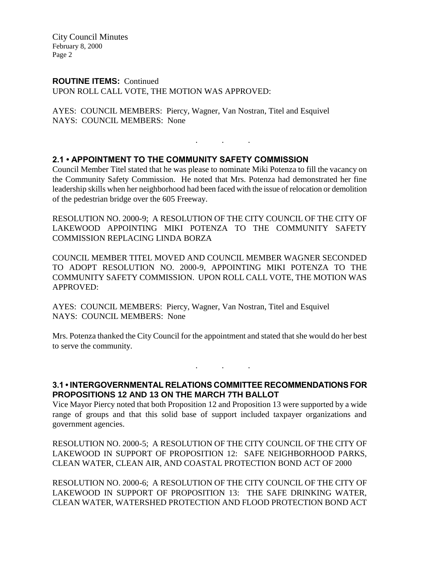City Council Minutes February 8, 2000 Page 2

#### **ROUTINE ITEMS:** Continued

UPON ROLL CALL VOTE, THE MOTION WAS APPROVED:

AYES: COUNCIL MEMBERS: Piercy, Wagner, Van Nostran, Titel and Esquivel NAYS: COUNCIL MEMBERS: None

. . .

### **2.1 • APPOINTMENT TO THE COMMUNITY SAFETY COMMISSION**

Council Member Titel stated that he was please to nominate Miki Potenza to fill the vacancy on the Community Safety Commission. He noted that Mrs. Potenza had demonstrated her fine leadership skills when her neighborhood had been faced with the issue of relocation or demolition of the pedestrian bridge over the 605 Freeway.

RESOLUTION NO. 2000-9; A RESOLUTION OF THE CITY COUNCIL OF THE CITY OF LAKEWOOD APPOINTING MIKI POTENZA TO THE COMMUNITY SAFETY COMMISSION REPLACING LINDA BORZA

COUNCIL MEMBER TITEL MOVED AND COUNCIL MEMBER WAGNER SECONDED TO ADOPT RESOLUTION NO. 2000-9, APPOINTING MIKI POTENZA TO THE COMMUNITY SAFETY COMMISSION. UPON ROLL CALL VOTE, THE MOTION WAS APPROVED:

AYES: COUNCIL MEMBERS: Piercy, Wagner, Van Nostran, Titel and Esquivel NAYS: COUNCIL MEMBERS: None

Mrs. Potenza thanked the City Council for the appointment and stated that she would do her best to serve the community.

## **3.1 • INTERGOVERNMENTAL RELATIONS COMMITTEE RECOMMENDATIONS FOR PROPOSITIONS 12 AND 13 ON THE MARCH 7TH BALLOT**

. . .

Vice Mayor Piercy noted that both Proposition 12 and Proposition 13 were supported by a wide range of groups and that this solid base of support included taxpayer organizations and government agencies.

RESOLUTION NO. 2000-5; A RESOLUTION OF THE CITY COUNCIL OF THE CITY OF LAKEWOOD IN SUPPORT OF PROPOSITION 12: SAFE NEIGHBORHOOD PARKS, CLEAN WATER, CLEAN AIR, AND COASTAL PROTECTION BOND ACT OF 2000

RESOLUTION NO. 2000-6; A RESOLUTION OF THE CITY COUNCIL OF THE CITY OF LAKEWOOD IN SUPPORT OF PROPOSITION 13: THE SAFE DRINKING WATER, CLEAN WATER, WATERSHED PROTECTION AND FLOOD PROTECTION BOND ACT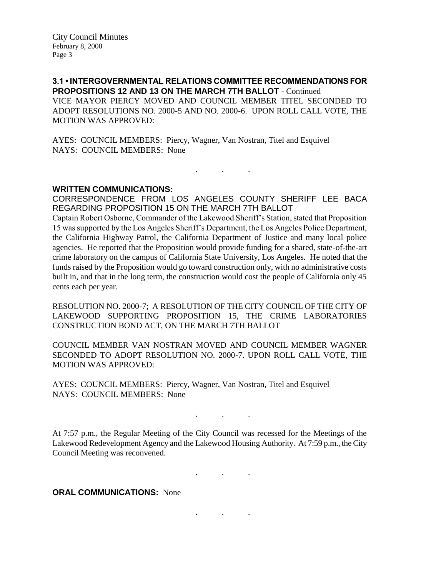**3.1 • INTERGOVERNMENTAL RELATIONS COMMITTEE RECOMMENDATIONS FOR PROPOSITIONS 12 AND 13 ON THE MARCH 7TH BALLOT** - Continued VICE MAYOR PIERCY MOVED AND COUNCIL MEMBER TITEL SECONDED TO ADOPT RESOLUTIONS NO. 2000-5 AND NO. 2000-6. UPON ROLL CALL VOTE, THE MOTION WAS APPROVED:

AYES: COUNCIL MEMBERS: Piercy, Wagner, Van Nostran, Titel and Esquivel NAYS: COUNCIL MEMBERS: None

### **WRITTEN COMMUNICATIONS:**

CORRESPONDENCE FROM LOS ANGELES COUNTY SHERIFF LEE BACA REGARDING PROPOSITION 15 ON THE MARCH 7TH BALLOT

. . .

Captain Robert Osborne, Commander of the Lakewood Sheriff's Station, stated that Proposition 15 was supported by the Los Angeles Sheriff's Department, the Los Angeles Police Department, the California Highway Patrol, the California Department of Justice and many local police agencies. He reported that the Proposition would provide funding for a shared, state-of-the-art crime laboratory on the campus of California State University, Los Angeles. He noted that the funds raised by the Proposition would go toward construction only, with no administrative costs built in, and that in the long term, the construction would cost the people of California only 45 cents each per year.

RESOLUTION NO. 2000-7; A RESOLUTION OF THE CITY COUNCIL OF THE CITY OF LAKEWOOD SUPPORTING PROPOSITION 15, THE CRIME LABORATORIES CONSTRUCTION BOND ACT, ON THE MARCH 7TH BALLOT

COUNCIL MEMBER VAN NOSTRAN MOVED AND COUNCIL MEMBER WAGNER SECONDED TO ADOPT RESOLUTION NO. 2000-7. UPON ROLL CALL VOTE, THE MOTION WAS APPROVED:

AYES: COUNCIL MEMBERS: Piercy, Wagner, Van Nostran, Titel and Esquivel NAYS: COUNCIL MEMBERS: None

At 7:57 p.m., the Regular Meeting of the City Council was recessed for the Meetings of the Lakewood Redevelopment Agency and the Lakewood Housing Authority. At 7:59 p.m., the City Council Meeting was reconvened.

. . .

. . .

. . .

**ORAL COMMUNICATIONS: None**